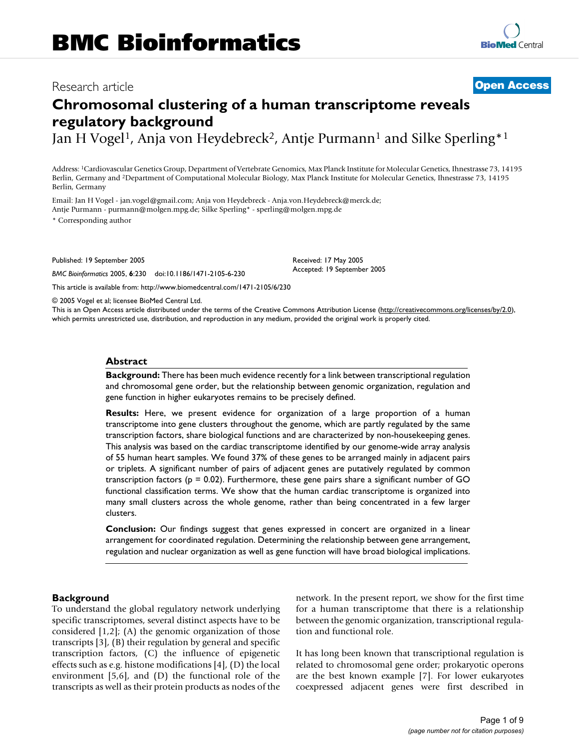## Research article **[Open Access](http://www.biomedcentral.com/info/about/charter/)**

# **Chromosomal clustering of a human transcriptome reveals regulatory background**

Jan H Vogel<sup>1</sup>, Anja von Heydebreck<sup>2</sup>, Antje Purmann<sup>1</sup> and Silke Sperling<sup>\*1</sup>

Address: 1Cardiovascular Genetics Group, Department of Vertebrate Genomics, Max Planck Institute for Molecular Genetics, Ihnestrasse 73, 14195 Berlin, Germany and 2Department of Computational Molecular Biology, Max Planck Institute for Molecular Genetics, Ihnestrasse 73, 14195 Berlin, Germany

Email: Jan H Vogel - jan.vogel@gmail.com; Anja von Heydebreck - Anja.von.Heydebreck@merck.de; Antje Purmann - purmann@molgen.mpg.de; Silke Sperling\* - sperling@molgen.mpg.de

\* Corresponding author

Published: 19 September 2005

*BMC Bioinformatics* 2005, **6**:230 doi:10.1186/1471-2105-6-230

[This article is available from: http://www.biomedcentral.com/1471-2105/6/230](http://www.biomedcentral.com/1471-2105/6/230)

© 2005 Vogel et al; licensee BioMed Central Ltd. This is an Open Access article distributed under the terms of the Creative Commons Attribution License [\(http://creativecommons.org/licenses/by/2.0\)](http://creativecommons.org/licenses/by/2.0), which permits unrestricted use, distribution, and reproduction in any medium, provided the original work is properly cited.

Received: 17 May 2005 Accepted: 19 September 2005

#### **Abstract**

**Background:** There has been much evidence recently for a link between transcriptional regulation and chromosomal gene order, but the relationship between genomic organization, regulation and gene function in higher eukaryotes remains to be precisely defined.

**Results:** Here, we present evidence for organization of a large proportion of a human transcriptome into gene clusters throughout the genome, which are partly regulated by the same transcription factors, share biological functions and are characterized by non-housekeeping genes. This analysis was based on the cardiac transcriptome identified by our genome-wide array analysis of 55 human heart samples. We found 37% of these genes to be arranged mainly in adjacent pairs or triplets. A significant number of pairs of adjacent genes are putatively regulated by common transcription factors ( $p = 0.02$ ). Furthermore, these gene pairs share a significant number of GO functional classification terms. We show that the human cardiac transcriptome is organized into many small clusters across the whole genome, rather than being concentrated in a few larger clusters.

**Conclusion:** Our findings suggest that genes expressed in concert are organized in a linear arrangement for coordinated regulation. Determining the relationship between gene arrangement, regulation and nuclear organization as well as gene function will have broad biological implications.

### **Background**

To understand the global regulatory network underlying specific transcriptomes, several distinct aspects have to be considered [1,2]; (A) the genomic organization of those transcripts [3], (B) their regulation by general and specific transcription factors, (C) the influence of epigenetic effects such as e.g. histone modifications [4], (D) the local environment [5,6], and (D) the functional role of the transcripts as well as their protein products as nodes of the network. In the present report, we show for the first time for a human transcriptome that there is a relationship between the genomic organization, transcriptional regulation and functional role.

It has long been known that transcriptional regulation is related to chromosomal gene order; prokaryotic operons are the best known example [7]. For lower eukaryotes coexpressed adjacent genes were first described in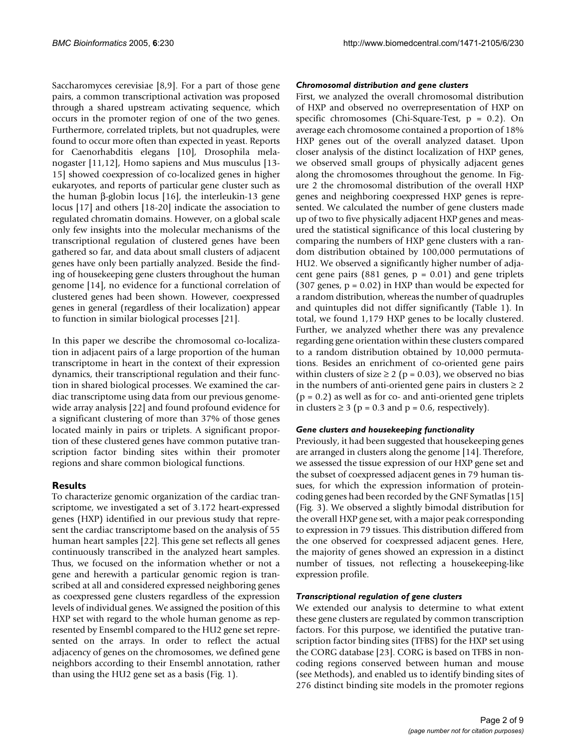Saccharomyces cerevisiae [8,9]. For a part of those gene pairs, a common transcriptional activation was proposed through a shared upstream activating sequence, which occurs in the promoter region of one of the two genes. Furthermore, correlated triplets, but not quadruples, were found to occur more often than expected in yeast. Reports for Caenorhabditis elegans [10], Drosophila melanogaster [11,12], Homo sapiens and Mus musculus [13- 15] showed coexpression of co-localized genes in higher eukaryotes, and reports of particular gene cluster such as the human β-globin locus [16], the interleukin-13 gene locus [17] and others [18-20] indicate the association to regulated chromatin domains. However, on a global scale only few insights into the molecular mechanisms of the transcriptional regulation of clustered genes have been gathered so far, and data about small clusters of adjacent genes have only been partially analyzed. Beside the finding of housekeeping gene clusters throughout the human genome [14], no evidence for a functional correlation of clustered genes had been shown. However, coexpressed genes in general (regardless of their localization) appear to function in similar biological processes [21].

In this paper we describe the chromosomal co-localization in adjacent pairs of a large proportion of the human transcriptome in heart in the context of their expression dynamics, their transcriptional regulation and their function in shared biological processes. We examined the cardiac transcriptome using data from our previous genomewide array analysis [22] and found profound evidence for a significant clustering of more than 37% of those genes located mainly in pairs or triplets. A significant proportion of these clustered genes have common putative transcription factor binding sites within their promoter regions and share common biological functions.

## **Results**

To characterize genomic organization of the cardiac transcriptome, we investigated a set of 3.172 heart-expressed genes (HXP) identified in our previous study that represent the cardiac transcriptome based on the analysis of 55 human heart samples [22]. This gene set reflects all genes continuously transcribed in the analyzed heart samples. Thus, we focused on the information whether or not a gene and herewith a particular genomic region is transcribed at all and considered expressed neighboring genes as coexpressed gene clusters regardless of the expression levels of individual genes. We assigned the position of this HXP set with regard to the whole human genome as represented by Ensembl compared to the HU2 gene set represented on the arrays. In order to reflect the actual adjacency of genes on the chromosomes, we defined gene neighbors according to their Ensembl annotation, rather than using the HU2 gene set as a basis (Fig. 1).

## *Chromosomal distribution and gene clusters*

First, we analyzed the overall chromosomal distribution of HXP and observed no overrepresentation of HXP on specific chromosomes (Chi-Square-Test,  $p = 0.2$ ). On average each chromosome contained a proportion of 18% HXP genes out of the overall analyzed dataset. Upon closer analysis of the distinct localization of HXP genes, we observed small groups of physically adjacent genes along the chromosomes throughout the genome. In Figure [2](#page-3-0) the chromosomal distribution of the overall HXP genes and neighboring coexpressed HXP genes is represented. We calculated the number of gene clusters made up of two to five physically adjacent HXP genes and measured the statistical significance of this local clustering by comparing the numbers of HXP gene clusters with a random distribution obtained by 100,000 permutations of HU2. We observed a significantly higher number of adjacent gene pairs (881 genes,  $p = 0.01$ ) and gene triplets (307 genes,  $p = 0.02$ ) in HXP than would be expected for a random distribution, whereas the number of quadruples and quintuples did not differ significantly (Table [1\)](#page-4-0). In total, we found 1,179 HXP genes to be locally clustered. Further, we analyzed whether there was any prevalence regarding gene orientation within these clusters compared to a random distribution obtained by 10,000 permutations. Besides an enrichment of co-oriented gene pairs within clusters of size  $\geq 2$  (p = 0.03), we observed no bias in the numbers of anti-oriented gene pairs in clusters  $\geq 2$  $(p = 0.2)$  as well as for co- and anti-oriented gene triplets in clusters ≥ 3 ( $p = 0.3$  and  $p = 0.6$ , respectively).

### *Gene clusters and housekeeping functionality*

Previously, it had been suggested that housekeeping genes are arranged in clusters along the genome [14]. Therefore, we assessed the tissue expression of our HXP gene set and the subset of coexpressed adjacent genes in 79 human tissues, for which the expression information of proteincoding genes had been recorded by the GNF Symatlas [15] (Fig. 3). We observed a slightly bimodal distribution for the overall HXP gene set, with a major peak corresponding to expression in 79 tissues. This distribution differed from the one observed for coexpressed adjacent genes. Here, the majority of genes showed an expression in a distinct number of tissues, not reflecting a housekeeping-like expression profile.

### *Transcriptional regulation of gene clusters*

We extended our analysis to determine to what extent these gene clusters are regulated by common transcription factors. For this purpose, we identified the putative transcription factor binding sites (TFBS) for the HXP set using the CORG database [23]. CORG is based on TFBS in noncoding regions conserved between human and mouse (see Methods), and enabled us to identify binding sites of 276 distinct binding site models in the promoter regions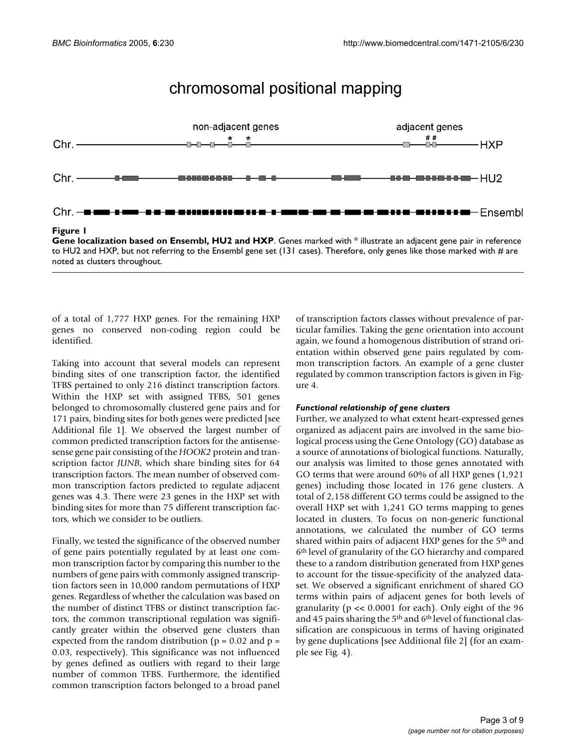## chromosomal positional mapping



**Gene localization based on Ensembl, HU2 and HXP**. Genes marked with \* illustrate an adjacent gene pair in reference to HU2 and HXP, but not referring to the Ensembl gene set (131 cases). Therefore, only genes like those marked with # are noted as clusters throughout.

of a total of 1,777 HXP genes. For the remaining HXP genes no conserved non-coding region could be identified.

Taking into account that several models can represent binding sites of one transcription factor, the identified TFBS pertained to only 216 distinct transcription factors. Within the HXP set with assigned TFBS, 501 genes belonged to chromosomally clustered gene pairs and for 171 pairs, binding sites for both genes were predicted [see Additional file 1]. We observed the largest number of common predicted transcription factors for the antisensesense gene pair consisting of the *HOOK2* protein and transcription factor *JUNB*, which share binding sites for 64 transcription factors. The mean number of observed common transcription factors predicted to regulate adjacent genes was 4.3. There were 23 genes in the HXP set with binding sites for more than 75 different transcription factors, which we consider to be outliers.

Finally, we tested the significance of the observed number of gene pairs potentially regulated by at least one common transcription factor by comparing this number to the numbers of gene pairs with commonly assigned transcription factors seen in 10,000 random permutations of HXP genes. Regardless of whether the calculation was based on the number of distinct TFBS or distinct transcription factors, the common transcriptional regulation was significantly greater within the observed gene clusters than expected from the random distribution ( $p = 0.02$  and  $p =$ 0.03, respectively). This significance was not influenced by genes defined as outliers with regard to their large number of common TFBS. Furthermore, the identified common transcription factors belonged to a broad panel

of transcription factors classes without prevalence of particular families. Taking the gene orientation into account again, we found a homogenous distribution of strand orientation within observed gene pairs regulated by common transcription factors. An example of a gene cluster regulated by common transcription factors is given in Figure [4.](#page-5-0)

#### *Functional relationship of gene clusters*

Further, we analyzed to what extent heart-expressed genes organized as adjacent pairs are involved in the same biological process using the Gene Ontology (GO) database as a source of annotations of biological functions. Naturally, our analysis was limited to those genes annotated with GO terms that were around 60% of all HXP genes (1,921 genes) including those located in 176 gene clusters. A total of 2,158 different GO terms could be assigned to the overall HXP set with 1,241 GO terms mapping to genes located in clusters. To focus on non-generic functional annotations, we calculated the number of GO terms shared within pairs of adjacent HXP genes for the 5<sup>th</sup> and 6th level of granularity of the GO hierarchy and compared these to a random distribution generated from HXP genes to account for the tissue-specificity of the analyzed dataset. We observed a significant enrichment of shared GO terms within pairs of adjacent genes for both levels of granularity (p << 0.0001 for each). Only eight of the 96 and 45 pairs sharing the 5<sup>th</sup> and 6<sup>th</sup> level of functional classification are conspicuous in terms of having originated by gene duplications [see Additional file 2] (for an example see Fig. [4\)](#page-5-0).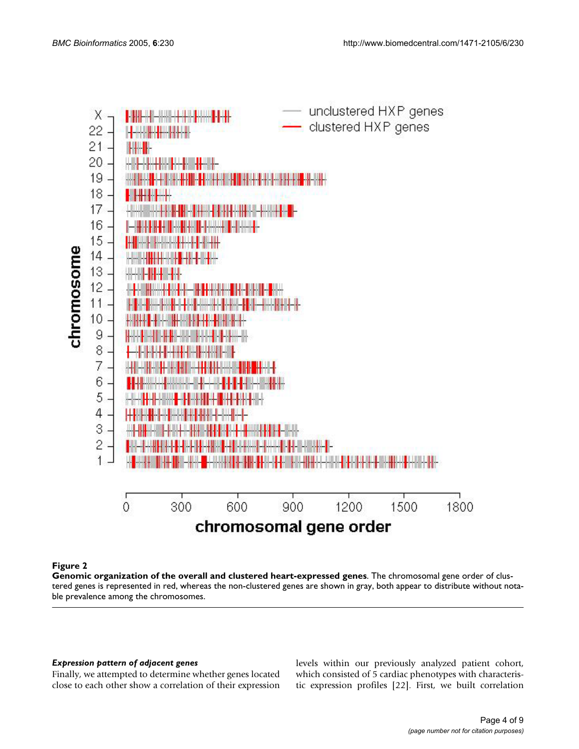<span id="page-3-0"></span>

### Figure 2

**Genomic organization of the overall and clustered heart-expressed genes**. The chromosomal gene order of clustered genes is represented in red, whereas the non-clustered genes are shown in gray, both appear to distribute without notable prevalence among the chromosomes.

### *Expression pattern of adjacent genes*

Finally, we attempted to determine whether genes located close to each other show a correlation of their expression

levels within our previously analyzed patient cohort, which consisted of 5 cardiac phenotypes with characteristic expression profiles [22]. First, we built correlation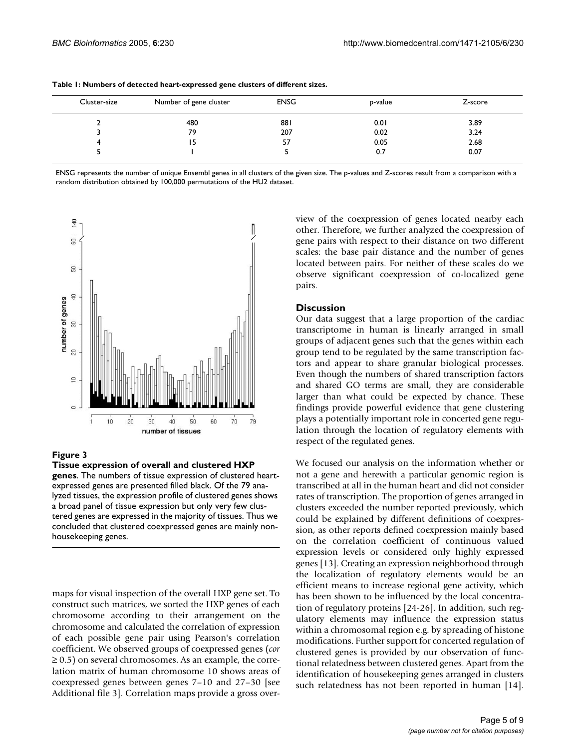| Cluster-size | Number of gene cluster | <b>ENSG</b> | p-value | Z-score |
|--------------|------------------------|-------------|---------|---------|
|              | 480                    | 881         | 0.01    | 3.89    |
|              | 79                     | 207         | 0.02    | 3.24    |
|              | 15                     | 57          | 0.05    | 2.68    |
|              |                        |             | 0.7     | 0.07    |

<span id="page-4-0"></span>**Table 1: Numbers of detected heart-expressed gene clusters of different sizes.** 

ENSG represents the number of unique Ensembl genes in all clusters of the given size. The p-values and Z-scores result from a comparison with a random distribution obtained by 100,000 permutations of the HU2 dataset.



### Figure 3

**Tissue expression of overall and clustered HXP genes**. The numbers of tissue expression of clustered heartexpressed genes are presented filled black. Of the 79 analyzed tissues, the expression profile of clustered genes shows a broad panel of tissue expression but only very few clustered genes are expressed in the majority of tissues. Thus we concluded that clustered coexpressed genes are mainly nonhousekeeping genes.

maps for visual inspection of the overall HXP gene set. To construct such matrices, we sorted the HXP genes of each chromosome according to their arrangement on the chromosome and calculated the correlation of expression of each possible gene pair using Pearson's correlation coefficient. We observed groups of coexpressed genes (*cor*  $\geq$  0.5) on several chromosomes. As an example, the correlation matrix of human chromosome 10 shows areas of coexpressed genes between genes 7–10 and 27–30 [see Additional file 3]. Correlation maps provide a gross overview of the coexpression of genes located nearby each other. Therefore, we further analyzed the coexpression of gene pairs with respect to their distance on two different scales: the base pair distance and the number of genes located between pairs. For neither of these scales do we observe significant coexpression of co-localized gene pairs.

#### **Discussion**

Our data suggest that a large proportion of the cardiac transcriptome in human is linearly arranged in small groups of adjacent genes such that the genes within each group tend to be regulated by the same transcription factors and appear to share granular biological processes. Even though the numbers of shared transcription factors and shared GO terms are small, they are considerable larger than what could be expected by chance. These findings provide powerful evidence that gene clustering plays a potentially important role in concerted gene regulation through the location of regulatory elements with respect of the regulated genes.

We focused our analysis on the information whether or not a gene and herewith a particular genomic region is transcribed at all in the human heart and did not consider rates of transcription. The proportion of genes arranged in clusters exceeded the number reported previously, which could be explained by different definitions of coexpression, as other reports defined coexpression mainly based on the correlation coefficient of continuous valued expression levels or considered only highly expressed genes [13]. Creating an expression neighborhood through the localization of regulatory elements would be an efficient means to increase regional gene activity, which has been shown to be influenced by the local concentration of regulatory proteins [24-26]. In addition, such regulatory elements may influence the expression status within a chromosomal region e.g. by spreading of histone modifications. Further support for concerted regulation of clustered genes is provided by our observation of functional relatedness between clustered genes. Apart from the identification of housekeeping genes arranged in clusters such relatedness has not been reported in human [14].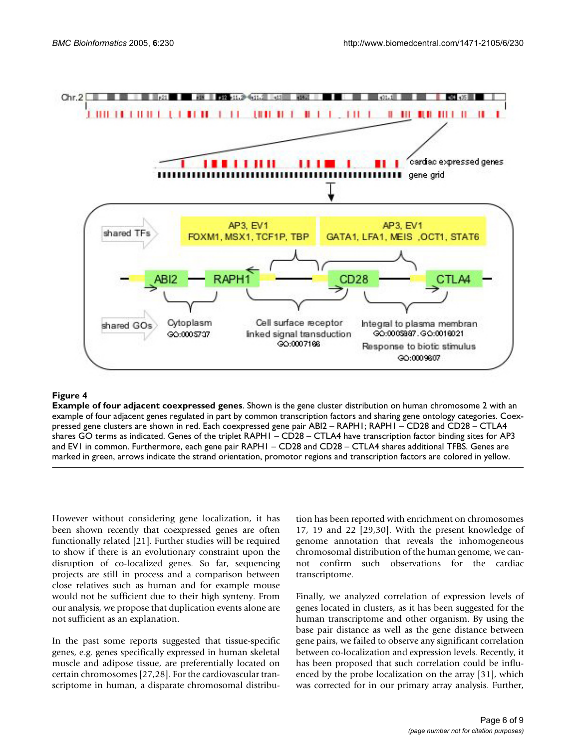<span id="page-5-0"></span>

## **Figure 4**

**Example of four adjacent coexpressed genes**. Shown is the gene cluster distribution on human chromosome 2 with an example of four adjacent genes regulated in part by common transcription factors and sharing gene ontology categories. Coexpressed gene clusters are shown in red. Each coexpressed gene pair ABI2 – RAPH1; RAPH1 – CD28 and CD28 – CTLA4 shares GO terms as indicated. Genes of the triplet RAPH1 – CD28 – CTLA4 have transcription factor binding sites for AP3 and EV1 in common. Furthermore, each gene pair RAPH1 – CD28 and CD28 – CTLA4 shares additional TFBS. Genes are marked in green, arrows indicate the strand orientation, promotor regions and transcription factors are colored in yellow.

However without considering gene localization, it has been shown recently that coexpressed genes are often functionally related [21]. Further studies will be required to show if there is an evolutionary constraint upon the disruption of co-localized genes. So far, sequencing projects are still in process and a comparison between close relatives such as human and for example mouse would not be sufficient due to their high synteny. From our analysis, we propose that duplication events alone are not sufficient as an explanation.

In the past some reports suggested that tissue-specific genes, e.g. genes specifically expressed in human skeletal muscle and adipose tissue, are preferentially located on certain chromosomes [27,28]. For the cardiovascular transcriptome in human, a disparate chromosomal distribution has been reported with enrichment on chromosomes 17, 19 and 22 [29,30]. With the present knowledge of genome annotation that reveals the inhomogeneous chromosomal distribution of the human genome, we cannot confirm such observations for the cardiac transcriptome.

Finally, we analyzed correlation of expression levels of genes located in clusters, as it has been suggested for the human transcriptome and other organism. By using the base pair distance as well as the gene distance between gene pairs, we failed to observe any significant correlation between co-localization and expression levels. Recently, it has been proposed that such correlation could be influenced by the probe localization on the array [31], which was corrected for in our primary array analysis. Further,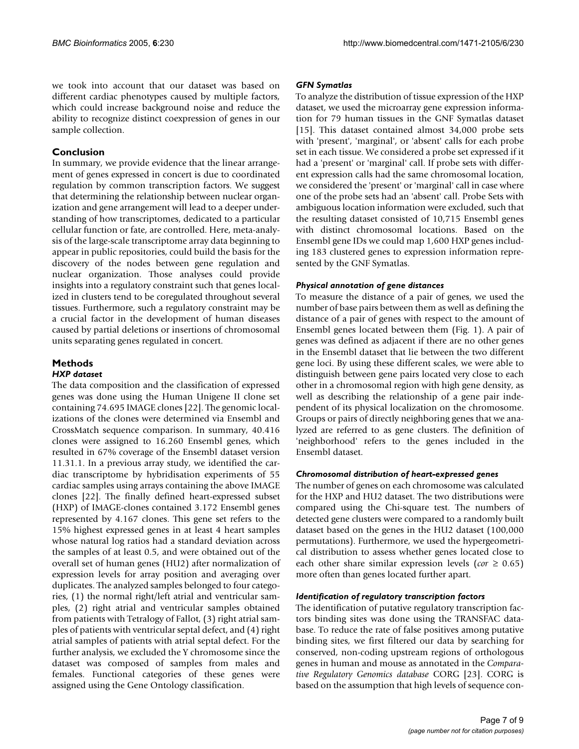we took into account that our dataset was based on different cardiac phenotypes caused by multiple factors, which could increase background noise and reduce the ability to recognize distinct coexpression of genes in our sample collection.

## **Conclusion**

In summary, we provide evidence that the linear arrangement of genes expressed in concert is due to coordinated regulation by common transcription factors. We suggest that determining the relationship between nuclear organization and gene arrangement will lead to a deeper understanding of how transcriptomes, dedicated to a particular cellular function or fate, are controlled. Here, meta-analysis of the large-scale transcriptome array data beginning to appear in public repositories, could build the basis for the discovery of the nodes between gene regulation and nuclear organization. Those analyses could provide insights into a regulatory constraint such that genes localized in clusters tend to be coregulated throughout several tissues. Furthermore, such a regulatory constraint may be a crucial factor in the development of human diseases caused by partial deletions or insertions of chromosomal units separating genes regulated in concert.

## **Methods**

#### *HXP dataset*

The data composition and the classification of expressed genes was done using the Human Unigene II clone set containing 74.695 IMAGE clones [22]. The genomic localizations of the clones were determined via Ensembl and CrossMatch sequence comparison. In summary, 40.416 clones were assigned to 16.260 Ensembl genes, which resulted in 67% coverage of the Ensembl dataset version 11.31.1. In a previous array study, we identified the cardiac transcriptome by hybridisation experiments of 55 cardiac samples using arrays containing the above IMAGE clones [22]. The finally defined heart-expressed subset (HXP) of IMAGE-clones contained 3.172 Ensembl genes represented by 4.167 clones. This gene set refers to the 15% highest expressed genes in at least 4 heart samples whose natural log ratios had a standard deviation across the samples of at least 0.5, and were obtained out of the overall set of human genes (HU2) after normalization of expression levels for array position and averaging over duplicates. The analyzed samples belonged to four categories, (1) the normal right/left atrial and ventricular samples, (2) right atrial and ventricular samples obtained from patients with Tetralogy of Fallot, (3) right atrial samples of patients with ventricular septal defect, and (4) right atrial samples of patients with atrial septal defect. For the further analysis, we excluded the Y chromosome since the dataset was composed of samples from males and females. Functional categories of these genes were assigned using the Gene Ontology classification.

#### *GFN Symatlas*

To analyze the distribution of tissue expression of the HXP dataset, we used the microarray gene expression information for 79 human tissues in the GNF Symatlas dataset [15]. This dataset contained almost 34,000 probe sets with 'present', 'marginal', or 'absent' calls for each probe set in each tissue. We considered a probe set expressed if it had a 'present' or 'marginal' call. If probe sets with different expression calls had the same chromosomal location, we considered the 'present' or 'marginal' call in case where one of the probe sets had an 'absent' call. Probe Sets with ambiguous location information were excluded, such that the resulting dataset consisted of 10,715 Ensembl genes with distinct chromosomal locations. Based on the Ensembl gene IDs we could map 1,600 HXP genes including 183 clustered genes to expression information represented by the GNF Symatlas.

### *Physical annotation of gene distances*

To measure the distance of a pair of genes, we used the number of base pairs between them as well as defining the distance of a pair of genes with respect to the amount of Ensembl genes located between them (Fig. 1). A pair of genes was defined as adjacent if there are no other genes in the Ensembl dataset that lie between the two different gene loci. By using these different scales, we were able to distinguish between gene pairs located very close to each other in a chromosomal region with high gene density, as well as describing the relationship of a gene pair independent of its physical localization on the chromosome. Groups or pairs of directly neighboring genes that we analyzed are referred to as gene clusters. The definition of 'neighborhood' refers to the genes included in the Ensembl dataset.

#### *Chromosomal distribution of heart-expressed genes*

The number of genes on each chromosome was calculated for the HXP and HU2 dataset. The two distributions were compared using the Chi-square test. The numbers of detected gene clusters were compared to a randomly built dataset based on the genes in the HU2 dataset (100,000 permutations). Furthermore, we used the hypergeometrical distribution to assess whether genes located close to each other share similar expression levels ( $cor \geq 0.65$ ) more often than genes located further apart.

#### *Identification of regulatory transcription factors*

The identification of putative regulatory transcription factors binding sites was done using the TRANSFAC database. To reduce the rate of false positives among putative binding sites, we first filtered our data by searching for conserved, non-coding upstream regions of orthologous genes in human and mouse as annotated in the *Comparative Regulatory Genomics database* CORG [23]. CORG is based on the assumption that high levels of sequence con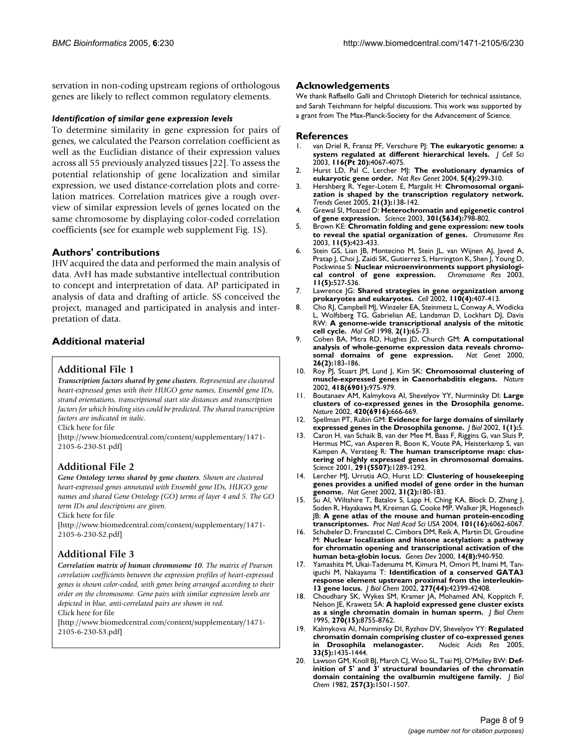servation in non-coding upstream regions of orthologous genes are likely to reflect common regulatory elements.

#### *Identification of similar gene expression levels*

To determine similarity in gene expression for pairs of genes, we calculated the Pearson correlation coefficient as well as the Euclidian distance of their expression values across all 55 previously analyzed tissues [22]. To assess the potential relationship of gene localization and similar expression, we used distance-correlation plots and correlation matrices. Correlation matrices give a rough overview of similar expression levels of genes located on the same chromosome by displaying color-coded correlation coefficients (see for example web supplement Fig. 1S).

### **Authors' contributions**

JHV acquired the data and performed the main analysis of data. AvH has made substantive intellectual contribution to concept and interpretation of data. AP participated in analysis of data and drafting of article. SS conceived the project, managed and participated in analysis and interpretation of data.

## **Additional material**

## **Additional File 1**

*Transcription factors shared by gene clusters. Represented are clustered heart-expressed genes with their HUGO gene names, Ensembl gene IDs, strand orientations, transcriptional start site distances and transcription factors for which binding sites could be predicted. The shared transcription factors are indicated in italic.*

Click here for file

[\[http://www.biomedcentral.com/content/supplementary/1471-](http://www.biomedcentral.com/content/supplementary/1471-2105-6-230-S1.pdf) 2105-6-230-S1.pdf]

## **Additional File 2**

*Gene Ontology terms shared by gene clusters. Shown are clustered heart-expressed genes annotated with Ensembl gene IDs, HUGO gene names and shared Gene Ontology (GO) terms of layer 4 and 5. The GO term IDs and descriptions are given.*

Click here for file

[\[http://www.biomedcentral.com/content/supplementary/1471-](http://www.biomedcentral.com/content/supplementary/1471-2105-6-230-S2.pdf) 2105-6-230-S2.pdf]

## **Additional File 3**

*Correlation matrix of human chromosome 10. The matrix of Pearson correlation coefficients between the expression profiles of heart-expressed genes is shown color-coded, with genes being arranged according to their order on the chromosome. Gene pairs with similar expression levels are depicted in blue, anti-correlated pairs are shown in red.*

Click here for file

[\[http://www.biomedcentral.com/content/supplementary/1471-](http://www.biomedcentral.com/content/supplementary/1471-2105-6-230-S3.pdf) 2105-6-230-S3.pdf]

#### **Acknowledgements**

We thank Raffaello Galli and Christoph Dieterich for technical assistance, and Sarah Teichmann for helpful discussions. This work was supported by a grant from The Max-Planck-Society for the Advancement of Science.

#### **References**

- van Driel R, Fransz PF, Verschure PJ: [The eukaryotic genome: a](http://www.ncbi.nlm.nih.gov/entrez/query.fcgi?cmd=Retrieve&db=PubMed&dopt=Abstract&list_uids=12972500) **[system regulated at different hierarchical levels.](http://www.ncbi.nlm.nih.gov/entrez/query.fcgi?cmd=Retrieve&db=PubMed&dopt=Abstract&list_uids=12972500)** *J Cell Sci* 2003, **116(Pt 20):**4067-4075.
- 2. Hurst LD, Pal C, Lercher MJ: **[The evolutionary dynamics of](http://www.ncbi.nlm.nih.gov/entrez/query.fcgi?cmd=Retrieve&db=PubMed&dopt=Abstract&list_uids=15131653) [eukaryotic gene order.](http://www.ncbi.nlm.nih.gov/entrez/query.fcgi?cmd=Retrieve&db=PubMed&dopt=Abstract&list_uids=15131653)** *Nat Rev Genet* 2004, **5(4):**299-310.
- 3. Hershberg R, Yeger-Lotem E, Margalit H: **[Chromosomal organi](http://www.ncbi.nlm.nih.gov/entrez/query.fcgi?cmd=Retrieve&db=PubMed&dopt=Abstract&list_uids=15734572)[zation is shaped by the transcription regulatory network.](http://www.ncbi.nlm.nih.gov/entrez/query.fcgi?cmd=Retrieve&db=PubMed&dopt=Abstract&list_uids=15734572)** *Trends Genet* 2005, **21(3):**138-142.
- 4. Grewal SI, Moazed D: **[Heterochromatin and epigenetic control](http://www.ncbi.nlm.nih.gov/entrez/query.fcgi?cmd=Retrieve&db=PubMed&dopt=Abstract&list_uids=12907790) [of gene expression.](http://www.ncbi.nlm.nih.gov/entrez/query.fcgi?cmd=Retrieve&db=PubMed&dopt=Abstract&list_uids=12907790)** *Science* 2003, **301(5634):**798-802.
- 5. Brown KE: **[Chromatin folding and gene expression: new tools](http://www.ncbi.nlm.nih.gov/entrez/query.fcgi?cmd=Retrieve&db=PubMed&dopt=Abstract&list_uids=12971719) [to reveal the spatial organization of genes.](http://www.ncbi.nlm.nih.gov/entrez/query.fcgi?cmd=Retrieve&db=PubMed&dopt=Abstract&list_uids=12971719)** *Chromosome Res* 2003, **11(5):**423-433.
- 6. Stein GS, Lian JB, Montecino M, Stein JL, van Wijnen AJ, Javed A, Pratap J, Choi J, Zaidi SK, Gutierrez S, Harrington K, Shen J, Young D, Pockwinse S: **[Nuclear microenvironments support physiologi](http://www.ncbi.nlm.nih.gov/entrez/query.fcgi?cmd=Retrieve&db=PubMed&dopt=Abstract&list_uids=12971727)[cal control of gene expression.](http://www.ncbi.nlm.nih.gov/entrez/query.fcgi?cmd=Retrieve&db=PubMed&dopt=Abstract&list_uids=12971727)** *Chromosome Res* 2003, **11(5):**527-536.
- 7. Lawrence JG: **[Shared strategies in gene organization among](http://www.ncbi.nlm.nih.gov/entrez/query.fcgi?cmd=Retrieve&db=PubMed&dopt=Abstract&list_uids=12202031) [prokaryotes and eukaryotes.](http://www.ncbi.nlm.nih.gov/entrez/query.fcgi?cmd=Retrieve&db=PubMed&dopt=Abstract&list_uids=12202031)** *Cell* 2002, **110(4):**407-413.
- 8. Cho RJ, Campbell MJ, Winzeler EA, Steinmetz L, Conway A, Wodicka L, Wolfsberg TG, Gabrielian AE, Landsman D, Lockhart DJ, Davis RW: **[A genome-wide transcriptional analysis of the mitotic](http://www.ncbi.nlm.nih.gov/entrez/query.fcgi?cmd=Retrieve&db=PubMed&dopt=Abstract&list_uids=9702192) [cell cycle.](http://www.ncbi.nlm.nih.gov/entrez/query.fcgi?cmd=Retrieve&db=PubMed&dopt=Abstract&list_uids=9702192)** *Mol Cell* 1998, **2(1):**65-73.
- 9. Cohen BA, Mitra RD, Hughes JD, Church GM: **[A computational](http://www.ncbi.nlm.nih.gov/entrez/query.fcgi?cmd=Retrieve&db=PubMed&dopt=Abstract&list_uids=11017073) [analysis of whole-genome expression data reveals chromo](http://www.ncbi.nlm.nih.gov/entrez/query.fcgi?cmd=Retrieve&db=PubMed&dopt=Abstract&list_uids=11017073)[somal domains of gene expression.](http://www.ncbi.nlm.nih.gov/entrez/query.fcgi?cmd=Retrieve&db=PubMed&dopt=Abstract&list_uids=11017073)** *Nat Genet* 2000, **26(2):**183-186.
- 10. Roy PJ, Stuart JM, Lund J, Kim SK: **[Chromosomal clustering of](http://www.ncbi.nlm.nih.gov/entrez/query.fcgi?cmd=Retrieve&db=PubMed&dopt=Abstract&list_uids=12214599) [muscle-expressed genes in Caenorhabditis elegans.](http://www.ncbi.nlm.nih.gov/entrez/query.fcgi?cmd=Retrieve&db=PubMed&dopt=Abstract&list_uids=12214599)** *Nature* 2002, **418(6901):**975-979.
- 11. Boutanaev AM, Kalmykova AI, Shevelyov YY, Nurminsky DI: **[Large](http://www.ncbi.nlm.nih.gov/entrez/query.fcgi?cmd=Retrieve&db=PubMed&dopt=Abstract&list_uids=12478293) [clusters of co-expressed genes in the Drosophila genome.](http://www.ncbi.nlm.nih.gov/entrez/query.fcgi?cmd=Retrieve&db=PubMed&dopt=Abstract&list_uids=12478293)** *Nature* 2002, **420(6916):**666-669.
- 12. Spellman PT, Rubin GM: **[Evidence for large domains of similarly](http://www.ncbi.nlm.nih.gov/entrez/query.fcgi?cmd=Retrieve&db=PubMed&dopt=Abstract&list_uids=12144710) [expressed genes in the Drosophila genome.](http://www.ncbi.nlm.nih.gov/entrez/query.fcgi?cmd=Retrieve&db=PubMed&dopt=Abstract&list_uids=12144710)** *J Biol* 2002, **1(1):**5.
- 13. Caron H, van Schaik B, van der Mee M, Baas F, Riggins G, van Sluis P, Hermus MC, van Asperen R, Boon K, Voute PA, Heisterkamp S, van Kampen A, Versteeg R: **[The human transcriptome map: clus](http://www.ncbi.nlm.nih.gov/entrez/query.fcgi?cmd=Retrieve&db=PubMed&dopt=Abstract&list_uids=11181992)[tering of highly expressed genes in chromosomal domains.](http://www.ncbi.nlm.nih.gov/entrez/query.fcgi?cmd=Retrieve&db=PubMed&dopt=Abstract&list_uids=11181992)** *Science* 2001, **291(5507):**1289-1292.
- 14. Lercher MJ, Urrutia AO, Hurst LD: **[Clustering of housekeeping](http://www.ncbi.nlm.nih.gov/entrez/query.fcgi?cmd=Retrieve&db=PubMed&dopt=Abstract&list_uids=11992122) [genes provides a unified model of gene order in the human](http://www.ncbi.nlm.nih.gov/entrez/query.fcgi?cmd=Retrieve&db=PubMed&dopt=Abstract&list_uids=11992122) [genome.](http://www.ncbi.nlm.nih.gov/entrez/query.fcgi?cmd=Retrieve&db=PubMed&dopt=Abstract&list_uids=11992122)** *Nat Genet* 2002, **31(2):**180-183.
- 15. Su AI, Wiltshire T, Batalov S, Lapp H, Ching KA, Block D, Zhang J, Soden R, Hayakawa M, Kreiman G, Cooke MP, Walker JR, Hogenesch JB: **[A gene atlas of the mouse and human protein-encoding](http://www.ncbi.nlm.nih.gov/entrez/query.fcgi?cmd=Retrieve&db=PubMed&dopt=Abstract&list_uids=15075390) [transcriptomes.](http://www.ncbi.nlm.nih.gov/entrez/query.fcgi?cmd=Retrieve&db=PubMed&dopt=Abstract&list_uids=15075390)** *Proc Natl Acad Sci USA* 2004, **101(16):**6062-6067.
- 16. Schubeler D, Francastel C, Cimbora DM, Reik A, Martin DI, Groudine M: **[Nuclear localization and histone acetylation: a pathway](http://www.ncbi.nlm.nih.gov/entrez/query.fcgi?cmd=Retrieve&db=PubMed&dopt=Abstract&list_uids=10783166) [for chromatin opening and transcriptional activation of the](http://www.ncbi.nlm.nih.gov/entrez/query.fcgi?cmd=Retrieve&db=PubMed&dopt=Abstract&list_uids=10783166) [human beta-globin locus.](http://www.ncbi.nlm.nih.gov/entrez/query.fcgi?cmd=Retrieve&db=PubMed&dopt=Abstract&list_uids=10783166)** *Genes Dev* 2000, **14(8):**940-950.
- 17. Yamashita M, Ukai-Tadenuma M, Kimura M, Omori M, Inami M, Taniguchi M, Nakayama T: **[Identification of a conserved GATA3](http://www.ncbi.nlm.nih.gov/entrez/query.fcgi?cmd=Retrieve&db=PubMed&dopt=Abstract&list_uids=12205084) [response element upstream proximal from the interleukin-](http://www.ncbi.nlm.nih.gov/entrez/query.fcgi?cmd=Retrieve&db=PubMed&dopt=Abstract&list_uids=12205084)[13 gene locus.](http://www.ncbi.nlm.nih.gov/entrez/query.fcgi?cmd=Retrieve&db=PubMed&dopt=Abstract&list_uids=12205084)** *J Biol Chem* 2002, **277(44):**42399-42408.
- 18. Choudhary SK, Wykes SM, Kramer JA, Mohamed AN, Koppitch F, Nelson JE, Krawetz SA: **[A haploid expressed gene cluster exists](http://www.ncbi.nlm.nih.gov/entrez/query.fcgi?cmd=Retrieve&db=PubMed&dopt=Abstract&list_uids=7721781) [as a single chromatin domain in human sperm.](http://www.ncbi.nlm.nih.gov/entrez/query.fcgi?cmd=Retrieve&db=PubMed&dopt=Abstract&list_uids=7721781)** *J Biol Chem* 1995, **270(15):**8755-8762.
- 19. Kalmykova AI, Nurminsky DI, Ryzhov DV, Shevelyov YY: **[Regulated](http://www.ncbi.nlm.nih.gov/entrez/query.fcgi?cmd=Retrieve&db=PubMed&dopt=Abstract&list_uids=15755746) [chromatin domain comprising cluster of co-expressed genes](http://www.ncbi.nlm.nih.gov/entrez/query.fcgi?cmd=Retrieve&db=PubMed&dopt=Abstract&list_uids=15755746)** [in Drosophila melanogaster.](http://www.ncbi.nlm.nih.gov/entrez/query.fcgi?cmd=Retrieve&db=PubMed&dopt=Abstract&list_uids=15755746) **33(5):**1435-1444.
- 20. Lawson GM, Knoll BJ, March CJ, Woo SL, Tsai MJ, O'Malley BW: **[Def](http://www.ncbi.nlm.nih.gov/entrez/query.fcgi?cmd=Retrieve&db=PubMed&dopt=Abstract&list_uids=6276388)[inition of 5' and 3' structural boundaries of the chromatin](http://www.ncbi.nlm.nih.gov/entrez/query.fcgi?cmd=Retrieve&db=PubMed&dopt=Abstract&list_uids=6276388) [domain containing the ovalbumin multigene family.](http://www.ncbi.nlm.nih.gov/entrez/query.fcgi?cmd=Retrieve&db=PubMed&dopt=Abstract&list_uids=6276388)** *J Biol Chem* 1982, **257(3):**1501-1507.